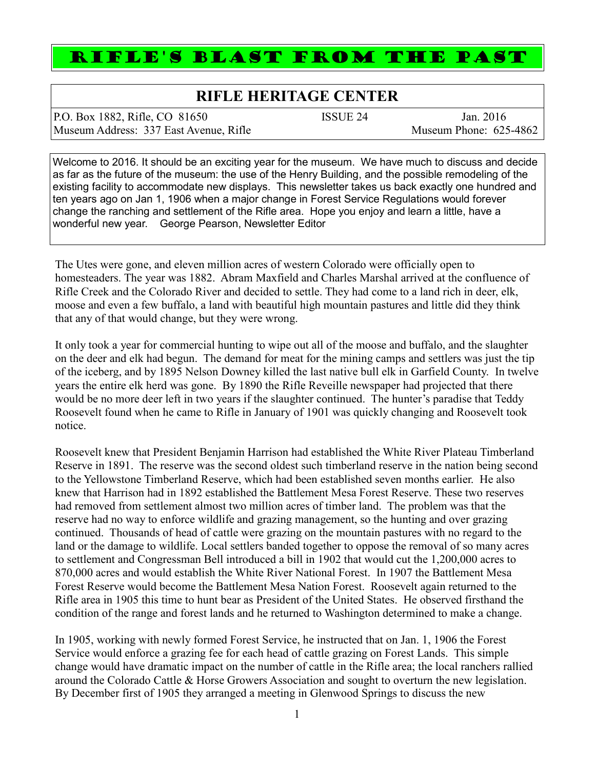## RIFLE'S BLAST FROM THE PAST

## **RIFLE HERITAGE CENTER**

P.O. Box 1882, Rifle, CO 81650 ISSUE 24 Jan. 2016 Museum Address: 337 East Avenue, Rifle Museum Phone: 625-4862

Welcome to 2016. It should be an exciting year for the museum. We have much to discuss and decide as far as the future of the museum: the use of the Henry Building, and the possible remodeling of the existing facility to accommodate new displays. This newsletter takes us back exactly one hundred and ten years ago on Jan 1, 1906 when a major change in Forest Service Regulations would forever change the ranching and settlement of the Rifle area. Hope you enjoy and learn a little, have a wonderful new year. George Pearson, Newsletter Editor

The Utes were gone, and eleven million acres of western Colorado were officially open to homesteaders. The year was 1882. Abram Maxfield and Charles Marshal arrived at the confluence of Rifle Creek and the Colorado River and decided to settle. They had come to a land rich in deer, elk, moose and even a few buffalo, a land with beautiful high mountain pastures and little did they think that any of that would change, but they were wrong.

It only took a year for commercial hunting to wipe out all of the moose and buffalo, and the slaughter on the deer and elk had begun. The demand for meat for the mining camps and settlers was just the tip of the iceberg, and by 1895 Nelson Downey killed the last native bull elk in Garfield County. In twelve years the entire elk herd was gone. By 1890 the Rifle Reveille newspaper had projected that there would be no more deer left in two years if the slaughter continued. The hunter's paradise that Teddy Roosevelt found when he came to Rifle in January of 1901 was quickly changing and Roosevelt took notice.

Roosevelt knew that President Benjamin Harrison had established the White River Plateau Timberland Reserve in 1891. The reserve was the second oldest such timberland reserve in the nation being second to the Yellowstone Timberland Reserve, which had been established seven months earlier. He also knew that Harrison had in 1892 established the Battlement Mesa Forest Reserve. These two reserves had removed from settlement almost two million acres of timber land. The problem was that the reserve had no way to enforce wildlife and grazing management, so the hunting and over grazing continued. Thousands of head of cattle were grazing on the mountain pastures with no regard to the land or the damage to wildlife. Local settlers banded together to oppose the removal of so many acres to settlement and Congressman Bell introduced a bill in 1902 that would cut the 1,200,000 acres to 870,000 acres and would establish the White River National Forest. In 1907 the Battlement Mesa Forest Reserve would become the Battlement Mesa Nation Forest. Roosevelt again returned to the Rifle area in 1905 this time to hunt bear as President of the United States. He observed firsthand the condition of the range and forest lands and he returned to Washington determined to make a change.

In 1905, working with newly formed Forest Service, he instructed that on Jan. 1, 1906 the Forest Service would enforce a grazing fee for each head of cattle grazing on Forest Lands. This simple change would have dramatic impact on the number of cattle in the Rifle area; the local ranchers rallied around the Colorado Cattle & Horse Growers Association and sought to overturn the new legislation. By December first of 1905 they arranged a meeting in Glenwood Springs to discuss the new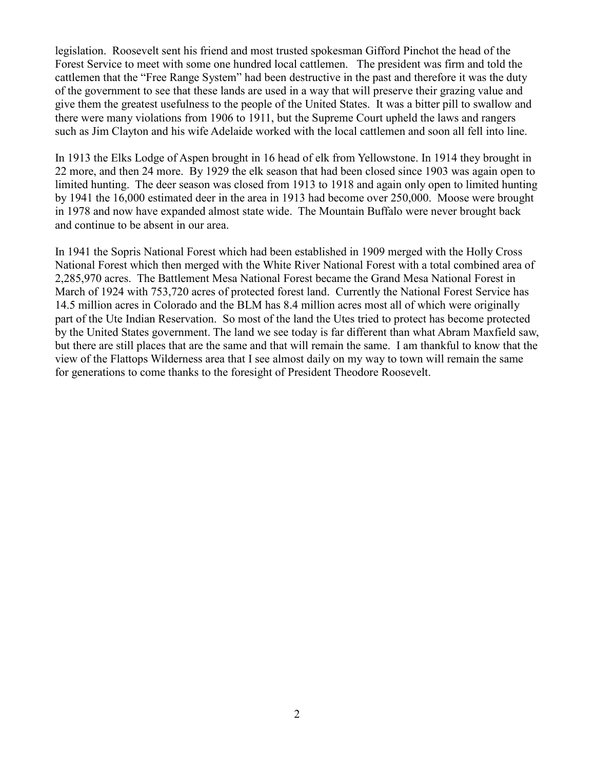legislation. Roosevelt sent his friend and most trusted spokesman Gifford Pinchot the head of the Forest Service to meet with some one hundred local cattlemen. The president was firm and told the cattlemen that the "Free Range System" had been destructive in the past and therefore it was the duty of the government to see that these lands are used in a way that will preserve their grazing value and give them the greatest usefulness to the people of the United States. It was a bitter pill to swallow and there were many violations from 1906 to 1911, but the Supreme Court upheld the laws and rangers such as Jim Clayton and his wife Adelaide worked with the local cattlemen and soon all fell into line.

In 1913 the Elks Lodge of Aspen brought in 16 head of elk from Yellowstone. In 1914 they brought in 22 more, and then 24 more. By 1929 the elk season that had been closed since 1903 was again open to limited hunting. The deer season was closed from 1913 to 1918 and again only open to limited hunting by 1941 the 16,000 estimated deer in the area in 1913 had become over 250,000. Moose were brought in 1978 and now have expanded almost state wide. The Mountain Buffalo were never brought back and continue to be absent in our area.

In 1941 the Sopris National Forest which had been established in 1909 merged with the Holly Cross National Forest which then merged with the White River National Forest with a total combined area of 2,285,970 acres. The Battlement Mesa National Forest became the Grand Mesa National Forest in March of 1924 with 753,720 acres of protected forest land. Currently the National Forest Service has 14.5 million acres in Colorado and the BLM has 8.4 million acres most all of which were originally part of the Ute Indian Reservation. So most of the land the Utes tried to protect has become protected by the United States government. The land we see today is far different than what Abram Maxfield saw, but there are still places that are the same and that will remain the same. I am thankful to know that the view of the Flattops Wilderness area that I see almost daily on my way to town will remain the same for generations to come thanks to the foresight of President Theodore Roosevelt.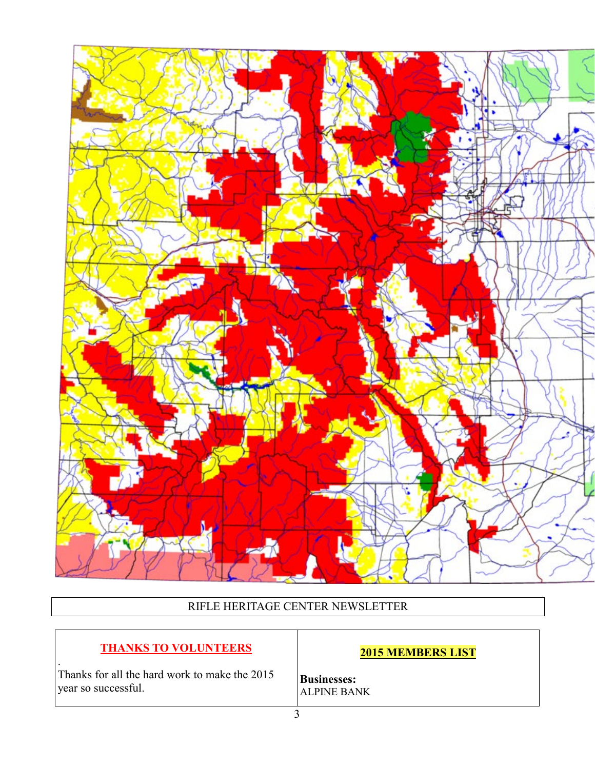

RIFLE HERITAGE CENTER NEWSLETTER

## **THANKS TO VOLUNTEERS**

**2015 MEMBERS LIST**

Thanks for all the hard work to make the 2015 year so successful.

.

**Businesses:** ALPINE BANK